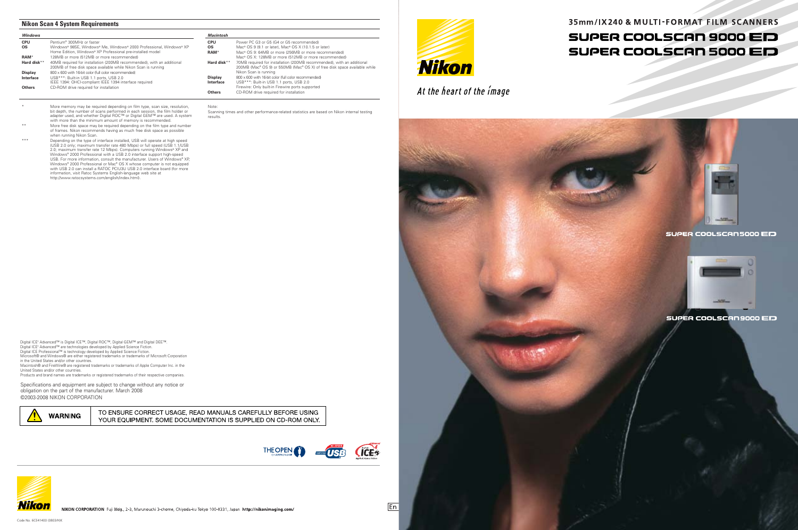#### **Nikon Scan 4 System Requirements**

Note: Scanning times and other performance-related statistics are based on Nikon internal testing results.



At the heart of the image

| Windows          |                                                                                                                                          | Macintosh        |                                                                                                                                                     |
|------------------|------------------------------------------------------------------------------------------------------------------------------------------|------------------|-----------------------------------------------------------------------------------------------------------------------------------------------------|
| <b>CPU</b>       | Pentium® 300MHz or faster                                                                                                                | <b>CPU</b>       | Power PC G3 or G5 (G4 or G5 recommended)                                                                                                            |
| ΟS               | Windows® 98SE, Windows® Me, Windows® 2000 Professional, Windows® XP                                                                      | <b>OS</b>        | Mac® OS 9 (9.1 or later), Mac® OS X (10.1.5 or later)                                                                                               |
|                  | Home Edition, Windows® XP Professional pre-installed model                                                                               | RAM <sup>*</sup> | Mac <sup>®</sup> OS 9: 64MB or more (256MB or more recommended)                                                                                     |
| RAM <sup>*</sup> | 128MB or more (512MB or more recommended)                                                                                                |                  | Mac <sup>®</sup> OS X: 128MB or more (512MB or more recommended)                                                                                    |
| Hard disk**      | 40MB required for installation (200MB recommended), with an additional<br>200MB of free disk space available while Nikon Scan is running | Hard disk**      | 70MB required for installation (200MB recommended), with an additional<br>200MB (Mac® OS 9) or 550MB (Mac® OS X) of free disk space available while |
| Display          | 800 x 600 with 16-bit color (full color recommended)                                                                                     |                  | Nikon Scan is running                                                                                                                               |
| Interface        | USB***: Built-in USB 1.1 ports, USB 2.0                                                                                                  | Display          | 800 x 600 with 16-bit color (full color recommended)                                                                                                |
|                  | IEEE 1394: OHCI-compliant IEEE 1394 interface required                                                                                   | Interface        | USB***: Built-in USB 1.1 ports, USB 2.0                                                                                                             |
| <b>Others</b>    | CD-ROM drive required for installation                                                                                                   |                  | Firewire: Only built-in Firewire ports supported                                                                                                    |
|                  |                                                                                                                                          | <b>Others</b>    | CD-ROM drive required for installation                                                                                                              |

More memory may be required depending on film type, scan size, resolution bit depth, the number of scans performed in each session, the film holder or adapter used, and whether Digital ROC™ or Digital GEM™ are used. A system<br>with more than the minimum amount of memory is recommended.

More free disk space may be required depending on the film type and number of frames. Nikon recommends having as much free disk space as possible when running Nikon Scan.

\*\*\* Depending on the type of interface installed, USB will operate at high speed (USB 2.0 only; maximum transfer rate 480 Mbps) or full speed (USB 1.1/USB 2.0; maximum transfer rate 12 Mbps). Computers running Windows® XP and Windows® 2000 Professional with a USB 2.0 interface support high-speed USB. For more information, consult the manufacturer. Users of Windows® XP, Windows® 2000 Professional or Mac® OS X whose computer is not equipped with USB 2.0 can install a RATOC PCIU3U USB 2.0 interface board (for more information, visit Ratoc Systems English-language web site at http://www.ratocsystems.com/english/index.html).

**ICE\*** 

## 35mm/IX240 & MULTI-FORMAT FILM SCANNERS SUPER COOLSCAN 9000 ED SUPER COOLSCAN 5000 ED



Digital ICE4 Advanced™ is Digital ICE™, Digital ROC™, Digital GEM™ and Digital DEE™. Digital ICEª Advanced™ are technologies developed by Applied Science Fiction.<br>Digital ICE Professional™ is technology developed by Applied Science Fiction. Microsoft® and Windows® are either registered trademarks or trademarks of Microsoft Corporation in the United States and/or other countries. Macintosh® and FireWire® are registered trademarks or trademarks of Apple Computer Inc. in the

United States and/or other countries.

Products and brand names are trademarks or registered trademarks of their respective companies.

Specifications and equipment are subject to change without any notice or obligation on the part of the manufacturer. March 2008 ©2003-2008 NIKON CORPORATION



TO ENSURE CORRECT USAGE, READ MANUALS CAREFULLY BEFORE USING YOUR EQUIPMENT. SOME DOCUMENTATION IS SUPPLIED ON CD-ROM ONLY.





NIKON CORPORATION Fuji Bldg., 2-3, Marunouchi 3-chome, Chiyoda-ku Tokyo 100-8331, Japan http://nikonimaging.com/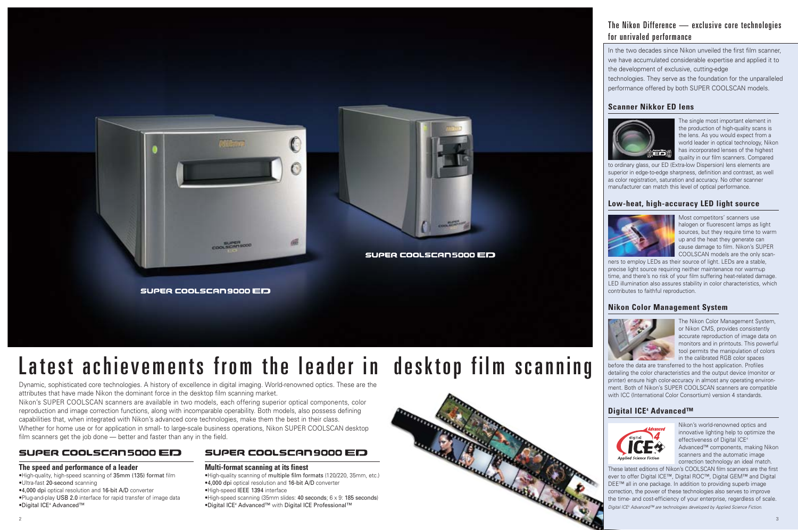

The single most important element in the production of high-quality scans is the lens. As you would expect from a world leader in optical technology, Nikon has incorporated lenses of the highest quality in our film scanners. Compared

to ordinary glass, our ED (Extra-low Dispersion) lens elements are superior in edge-to-edge sharpness, definition and contrast, as well as color registration, saturation and accuracy. No other scanner manufacturer can match this level of optical performance.

### **Scanner Nikkor ED lens**



ners to employ LEDs as their source of light. LEDs are a stable precise light source requiring neither maintenance nor warmup time, and there's no risk of your film suffering heat-related damage. LED illumination also assures stability in color characteristics, which contributes to faithful reproduction.

Most competitors' scanners use halogen or fluorescent lamps as light sources, but they require time to warm up and the heat they generate can cause damage to film. Nikon's SUPER COOLSCAN models are the only scan-

### **Low-heat, high-accuracy LED light source**



The Nikon Color Management System, or Nikon CMS, provides consistently accurate reproduction of image data on monitors and in printouts. This powerful tool permits the manipulation of colors in the calibrated RGB color spaces

before the data are transferred to the host application. Profiles detailing the color characteristics and the output device (monitor or printer) ensure high color-accuracy in almost any operating environment. Both of Nikon's SUPER COOLSCAN scanners are compatible with ICC (International Color Consortium) version 4 standards.

### **Nikon Color Management System**



Nikon's world-renowned optics and innovative lighting help to optimize the effectiveness of Digital ICF<sup>4</sup> Advanced™ components, making Nikon scanners and the automatic image correction technology an ideal match.

### **Digital ICE4 Advanced™**



## The Nikon Difference — exclusive core technologies for unrivaled performance

#### **The speed and performance of a leader**

- •High-quality, high-speed scanning of 35mm (135) format film •Ultra-fast 20-second scanning
- •4,000 dpi optical resolution and 16-bit A/D converter •Plug-and-play USB 2.0 interface for rapid transfer of image data •Digital ICE4 Advanced™

## SUPER COOLSCAN9000 ED

#### **Multi-format scanning at its finest**

- •High-quality scanning of multiple film formats (120/220, 35mm, etc.) •4,000 dpi optical resolution and 16-bit A/D converter
- •High-speed IEEE 1394 interface
- •High-speed scanning (35mm slides: 40 seconds; 6 x 9: 185 seconds) •Digital ICE4 Advanced™ with Digital ICE Professional™

These latest editions of Nikon's COOLSCAN film scanners are the first ever to offer Digital ICE™, Digital ROC™, Digital GEM™ and Digital DEE<sup>™</sup> all in one package. In addition to providing superb image correction, the power of these technologies also serves to improve the time- and cost-efficiency of your enterprise, regardless of scale. Digital ICE<sup>4</sup> Advanced™ are technologies developed by Applied Science Fiction.

Dynamic, sophisticated core technologies. A history of excellence in digital imaging. World-renowned optics. These are the attributes that have made Nikon the dominant force in the desktop film scanning market. Nikon's SUPER COOLSCAN scanners are available in two models, each offering superior optical components, color reproduction and image correction functions, along with incomparable operability. Both models, also possess defining capabilities that, when integrated with Nikon's advanced core technologies, make them the best in their class. Whether for home use or for application in small- to large-scale business operations, Nikon SUPER COOLSCAN desktop

film scanners get the job done — better and faster than any in the field.

## SUPER COOLSCAN5000 ED

In the two decades since Nikon unveiled the first film scanner, we have accumulated considerable expertise and applied it to the development of exclusive, cutting-edge

technologies. They serve as the foundation for the unparalleled performance offered by both SUPER COOLSCAN models.



# Latest achievements from the leader in desktop film scanning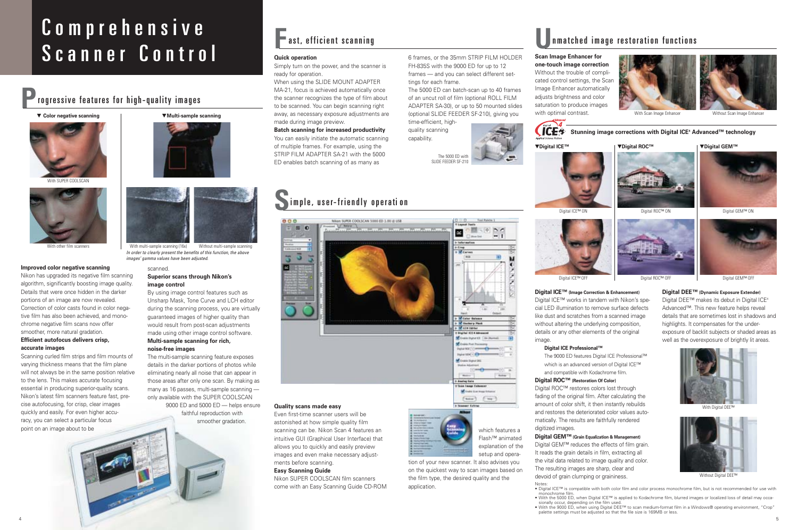# Comprehensive Scanner Control

#### **Quick operation**

Simply turn on the power, and the scanner is ready for operation.

When using the SLIDE MOUNT ADAPTER MA-21, focus is achieved automatically once the scanner recognizes the type of film about to be scanned. You can begin scanning right away, as necessary exposure adjustments are made during image preview.

#### **Batch scanning for increased productivity**

You can easily initiate the automatic scanning of multiple frames. For example, using the STRIP FILM ADAPTER SA-21 with the 5000 ED enables batch scanning of as many as

## **Stunning image corrections with Digital ICE4 Advanced™ technology**

#### **Improved color negative scanning**

Nikon has upgraded its negative film scanning algorithm, significantly boosting image quality. Details that were once hidden in the darker portions of an image are now revealed. Correction of color casts found in color negative film has also been achieved, and monochrome negative film scans now offer smoother, more natural gradation.

#### **Efficient autofocus delivers crisp, accurate images**

Scanning curled film strips and film mounts of varying thickness means that the film plane will not always be in the same position relative to the lens. This makes accurate focusing essential in producing superior-quality scans. Nikon's latest film scanners feature fast, precise autofocusing, for crisp, clear images quickly and easily. For even higher accuracy, you can select a particular focus point on an image about to be

Digital DEE<sup>™</sup> makes its debut in Digital ICE<sup>4</sup> Advanced™. This new feature helps reveal details that are sometimes lost in shadows and highlights. It compensates for the underexposure of backlit subjects or shaded areas as well as the overexposure of brightly lit areas.



With Digital DEE™



Without Digital DEE™

### **Digital ICE™ (Image Correction & Enhancement)**

## rogressive features for high-quality images **P**



SUPER COOLSCAN



## imple, user-friendly operati on **S**



Digital ICE™ works in tandem with Nikon's special LED illumination to remove surface defects like dust and scratches from a scanned image without altering the underlying composition, details or any other elements of the original image.

#### **Digital ICE Professional™**

The 9000 ED features Digital ICE Professional™ which is an advanced version of Digital ICE™ and compatible with Kodachrome film.

#### **Digital ROC™ (Restoration Of Color)** Digital ROC™ restores colors lost through fading of the original film. After calculating the amount of color shift, it then instantly rebuilds and restores the deteriorated color values automatically. The results are faithfully rendered

digitized images.

**Digital GEM™ (Grain Equalization & Management)** Digital GEM™ reduces the effects of film grain. It reads the grain details in film, extracting all the vital data related to image quality and color. The resulting images are sharp, clear and devoid of grain clumping or graininess.

- monochrome film
- 
- 
- 



The 5000 ED with SLIDE FEEDER SE-210

#### **Digital DEE™ (Dynamic Exposure Extender)**

**Scan Image Enhancer for**



Without the trouble of complicated control settings, the Scan Image Enhancer automatically adjusts brightness and color saturation to produce images





With Scan Image Enhancer Without Scan Image Enhancer

with optimal contrast.

Digital ICF™ ON



#### Digital ICE™ OFF



In order to clearly present the benefits of this function, the above images' gamma values have been adjusted.

which features a Flash™ animated explanation of the setup and opera-

tion of your new scanner. It also advises you on the quickest way to scan images based on the film type, the desired quality and the

Desayer Extra

application.

## $\blacksquare$  nmatched image restoration functions

• Digital ICE™ is compatible with both color film and color process monochrome film, but is not recommended for use with

• With the 5000 ED, when Digital ICE™ is applied to Kodachrome film, blurred images or localized loss of detail may occa-

sionally occur, depending on the film used.<br>● With the 9000 ED, when using Digital DEE™ to scan medium-format film in a Windows® operating environment, "Crop"<br>- palette settings must be adjusted so that the file size is 1

#### scanned. **Superior scans through Nikon's image control**

By using image control features such as Unsharp Mask, Tone Curve and LCH editor during the scanning process, you are virtually guaranteed images of higher quality than would result from post-scan adjustments made using other image control software. **Multi-sample scanning for rich,** 

## **noise-free images**

The multi-sample scanning feature exposes details in the darker portions of photos while eliminating nearly all noise that can appear in those areas after only one scan. By making as many as 16 passes, multi-sample scanning only available with the SUPER COOLSCAN

9000 ED and 5000 ED — helps ensure faithful reproduction with smoother gradation.

## **F** ast, efficient scanning



The 5000 ED can batch-scan up to 40 frames of an uncut roll of film (optional ROLL FILM ADAPTER SA-30), or up to 50 mounted slides (optional SLIDE FEEDER SF-210), giving you

time-efficient, highquality scanning capability.









Digital ROC™ ON



Digital ROC™ OFF



Digital GEM™ ON



Digital GFM™ OFF

#### ▼**Digital GEM™**

#### **Quality scans made easy**

Even first-time scanner users will be astonished at how simple quality film scanning can be. Nikon Scan 4 features an intuitive GUI (Graphical User Interface) that allows you to quickly and easily preview images and even make necessary adjustments before scanning.

#### **Easy Scanning Guide**

Nikon SUPER COOLSCAN film scanners come with an Easy Scanning Guide CD-ROM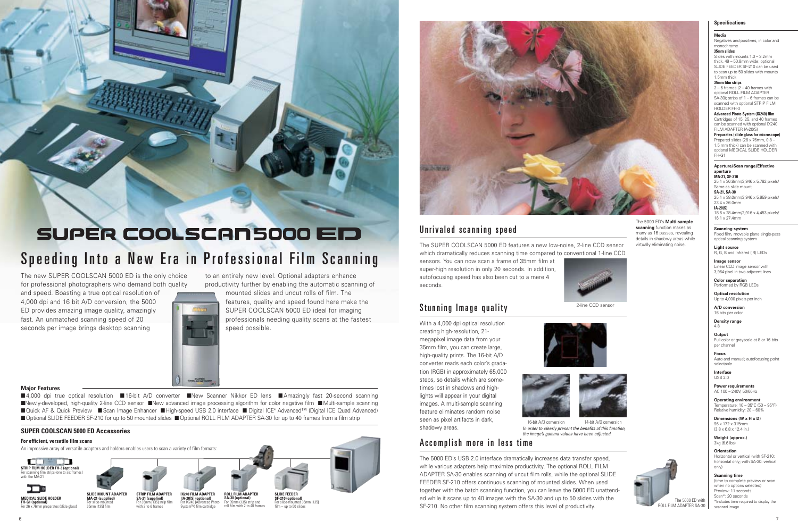#### **Media**

Negatives and positives, in color and monochrome

#### **35mm slides**

Slides with mounts 1.0 – 3.2mm thick, 49 – 50.8mm wide; optional SLIDE FEEDER SF-210 can be used to scan up to 50 slides with mounts 1.5mm thick

#### **35mm film strips**

2 – 6 frames (2 – 40 frames with optional ROLL FILM ADAPTER  $S$ A-30); strips of 1 – 6 frames can be scanned with optional STRIP FILM HOLDER FH-3

**Advanced Photo System (IX240) film** Cartridges of 15, 25, and 40 frames can be scanned with optional IX240 FILM ADAPTER IA-20(S)

**Preparates (slide glass for microscope)** Prepared slides (26 x 76mm, 0.8 – 1.5 mm thick) can be scanned with optional MEDICAL SLIDE HOLDER FH-G1

#### **Aperture/Scan range/Effective aperture**

**MA-21, SF-210** 25.1 x 36.8mm/3,946 x 5,782 pixels/ Same as slide mount **SA-21, SA-30** 25.1 x 38.0mm/3,946 x 5,959 pixels/ 23.4 x 36.0mm **IA-20(S)**

18.6 x 28.4mm/2,916 x 4,453 pixels/ 16.1 x 27.4mm

**Scanning system**  Fixed film, movable plane single-pass optical scanning system

**Light source**  R, G, B and Infrared (IR) LEDs

**Image sensor**  Linear CCD image sensor with 3,964-pixel in two adjacent lines

**Color separation**  Performed by RGB LEDs

**Optical resolution**  Up to 4,000 pixels per inch

**A/D conversion**  16 bits per color

**Density range** 4.8

**Output** Full color or grayscale at 8 or 16 bits per channel

**Focus**  Auto and manual; autofocusing point selectable

**Interface**  USB 2.0

**Power requirements** AC 100 – 240V, 50/60Hz

**Operating environment**  Temperature: 10 – 35°C (50 – 95°F) Relative humidity: 20 – 60%

**Dimensions (W x H x D)** 96 x 172 x 315mm (3.8 x 6.8 x 12.4 in.)

**Weight (approx.)** 3kg (6.6 lbs)

**Orientation** 

Horizontal or vertical (with SF-210: horizontal only; with SA-30: vertical only)

**Scanning time** (time to complete preview or scan when no options selected) Preview: 11 seconds Scan\*: 20 seconds \*Includes time required to display the scanned image

#### **Specifications**

The SUPER COOLSCAN 5000 ED features a new low-noise, 2-line CCD sensor which dramatically reduces scanning time compared to conventional 1-line CCD

sensors. You can now scan a frame of 35mm film at super-high resolution in only 20 seconds. In addition, autofocusing speed has also been cut to a mere 4 seconds.



## Unrivaled scanning speed

With a 4,000 dpi optical resolution creating high-resolution, 21 megapixel image data from your 35mm film, you can create large, high-quality prints. The 16-bit A/D converter reads each color's gradation (RGB) in approximately 65,000 steps, so details which are sometimes lost in shadows and highlights will appear in your digital images. A multi-sample scanning feature eliminates random noise seen as pixel artifacts in dark, shadowy areas.



The 5000 ED's USB 2.0 interface dramatically increases data transfer speed, while various adapters help maximize productivity. The optional ROLL FILM ADAPTER SA-30 enables scanning of uncut film rolls, while the optional SLIDE FEEDER SF-210 offers continuous scanning of mounted slides. When used together with the batch scanning function, you can leave the 5000 ED unattended while it scans up to 40 images with the SA-30 and up to 50 slides with the SF-210. No other film scanning system offers this level of productivity.

## Accomplish more in less time

The 5000 ED's **Multi-sample scanning** function makes as many as 16 passes, revealing details in shadowy areas while virtually eliminating noise.

# SUPER COOLSCAN5000 ED

## Speeding Into a New Era in Professional Film Scanning

The new SUPER COOLSCAN 5000 ED is the only choice for professional photographers who demand both quality

and speed. Boasting a true optical resolution of 4,000 dpi and 16 bit A/D conversion, the 5000 ED provides amazing image quality, amazingly fast. An unmatched scanning speed of 20 seconds per image brings desktop scanning



### **SUPER COOLSCAN 5000 ED Accessories**





to an entirely new level. Optional adapters enhance productivity further by enabling the automatic scanning of mounted slides and uncut rolls of film. The

features, quality and speed found here make the SUPER COOLSCAN 5000 ED ideal for imaging professionals needing quality scans at the fastest speed possible.

#### **Major Features**

■ 4,000 dpi true optical resolution ■ 16-bit A/D converter ■New Scanner Nikkor ED lens ■ Amazingly fast 20-second scanning ■Newly-developed, high-quality 2-line CCD sensor ■New advanced image processing algorithm for color negative film ■Multi-sample scanning ■ Quick AF & Quick Preview ■ Scan Image Enhancer ■ High-speed USB 2.0 interface ■ Digital ICE<sup>4</sup> Advanced™ (Digital ICE Quad Advanced) ■Optional SLIDE FEEDER SF-210 for up to 50 mounted slides ■Optional ROLL FILM ADAPTER SA-30 for up to 40 frames from a film strip

2-line CCD sensor





![](_page_3_Picture_19.jpeg)

16-bit A/D conversion 14-bit A/D conversion In order to clearly present the benefits of this function, the image's gamma values have been adjusted.

## Stunning Image quality

![](_page_3_Picture_23.jpeg)